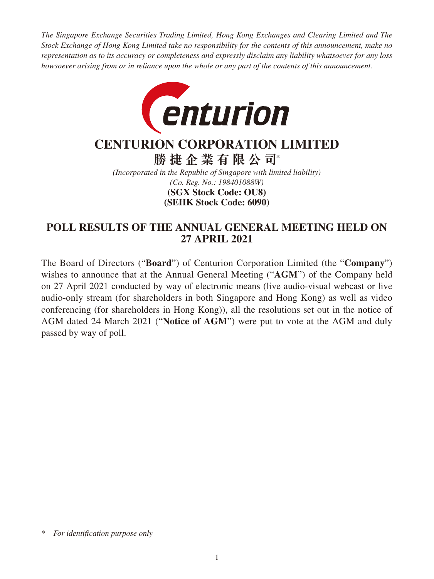*The Singapore Exchange Securities Trading Limited, Hong Kong Exchanges and Clearing Limited and The Stock Exchange of Hong Kong Limited take no responsibility for the contents of this announcement, make no representation as to its accuracy or completeness and expressly disclaim any liability whatsoever for any loss howsoever arising from or in reliance upon the whole or any part of the contents of this announcement.*



# **CENTURION CORPORATION LIMITED**

**勝捷企業有限公司\***

*(Incorporated in the Republic of Singapore with limited liability) (Co. Reg. No.: 198401088W)* **(SEHK Stock Code: 6090) (SGX Stock Code: OU8)**

## **POLL RESULTS OF THE ANNUAL GENERAL MEETING HELD ON 27 APRIL 2021**

The Board of Directors ("**Board**") of Centurion Corporation Limited (the "**Company**") wishes to announce that at the Annual General Meeting ("**AGM**") of the Company held on 27 April 2021 conducted by way of electronic means (live audio-visual webcast or live audio-only stream (for shareholders in both Singapore and Hong Kong) as well as video conferencing (for shareholders in Hong Kong)), all the resolutions set out in the notice of AGM dated 24 March 2021 ("**Notice of AGM**") were put to vote at the AGM and duly passed by way of poll.

*<sup>\*</sup> For identification purpose only*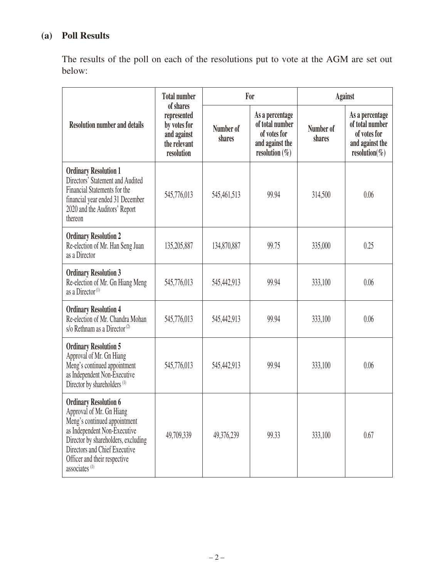# **(a) Poll Results**

The results of the poll on each of the resolutions put to vote at the AGM are set out below:

| <b>Resolution number and details</b>                                                                                                                                                                                                                          | <b>Total number</b><br>of shares<br>represented<br>by votes for<br>and against<br>the relevant<br>resolution | For                 |                                                                                            | <b>Against</b>      |                                                                                             |
|---------------------------------------------------------------------------------------------------------------------------------------------------------------------------------------------------------------------------------------------------------------|--------------------------------------------------------------------------------------------------------------|---------------------|--------------------------------------------------------------------------------------------|---------------------|---------------------------------------------------------------------------------------------|
|                                                                                                                                                                                                                                                               |                                                                                                              | Number of<br>shares | As a percentage<br>of total number<br>of votes for<br>and against the<br>resolution $(\%)$ | Number of<br>shares | As a percentage<br>of total number<br>of votes for<br>and against the<br>resolution( $\%$ ) |
| <b>Ordinary Resolution 1</b><br>Directors' Statement and Audited<br>Financial Statements for the<br>financial year ended 31 December<br>2020 and the Auditors' Report<br>thereon                                                                              | 545,776,013                                                                                                  | 545,461,513         | 99.94                                                                                      | 314,500             | 0.06                                                                                        |
| <b>Ordinary Resolution 2</b><br>Re-election of Mr. Han Seng Juan<br>as a Director                                                                                                                                                                             | 135,205,887                                                                                                  | 134,870,887         | 99.75                                                                                      | 335,000             | 0.25                                                                                        |
| <b>Ordinary Resolution 3</b><br>Re-election of Mr. Gn Hiang Meng<br>as a Director <sup>(1)</sup>                                                                                                                                                              | 545,776,013                                                                                                  | 545,442,913         | 99.94                                                                                      | 333,100             | 0.06                                                                                        |
| <b>Ordinary Resolution 4</b><br>Re-election of Mr. Chandra Mohan<br>s/o Rethnam as a Director <sup>(2)</sup>                                                                                                                                                  | 545,776,013                                                                                                  | 545,442,913         | 99.94                                                                                      | 333,100             | 0.06                                                                                        |
| <b>Ordinary Resolution 5</b><br>Approval of Mr. Gn Hiang<br>Meng's continued appointment<br>as Independent Non-Executive<br>Director by shareholders <sup>(1)</sup>                                                                                           | 545,776,013                                                                                                  | 545,442,913         | 99.94                                                                                      | 333,100             | 0.06                                                                                        |
| <b>Ordinary Resolution 6</b><br>Approval of Mr. Gn Hiang<br>Meng's continued appointment<br>as Independent Non-Executive<br>Director by shareholders, excluding<br>Directors and Chief Executive<br>Officer and their respective<br>associates <sup>(1)</sup> | 49,709,339                                                                                                   | 49,376,239          | 99.33                                                                                      | 333,100             | 0.67                                                                                        |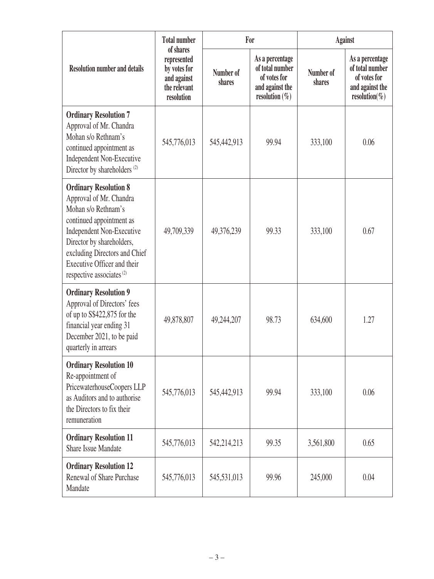| <b>Resolution number and details</b>                                                                                                                                                                                                                                                | <b>Total number</b><br>of shares<br>represented<br>by votes for<br>and against<br>the relevant<br>resolution | For                 |                                                                                            | <b>Against</b>      |                                                                                             |
|-------------------------------------------------------------------------------------------------------------------------------------------------------------------------------------------------------------------------------------------------------------------------------------|--------------------------------------------------------------------------------------------------------------|---------------------|--------------------------------------------------------------------------------------------|---------------------|---------------------------------------------------------------------------------------------|
|                                                                                                                                                                                                                                                                                     |                                                                                                              | Number of<br>shares | As a percentage<br>of total number<br>of votes for<br>and against the<br>resolution $(\%)$ | Number of<br>shares | As a percentage<br>of total number<br>of votes for<br>and against the<br>resolution( $\%$ ) |
| <b>Ordinary Resolution 7</b><br>Approval of Mr. Chandra<br>Mohan s/o Rethnam's<br>continued appointment as<br>Independent Non-Executive<br>Director by shareholders <sup>(2)</sup>                                                                                                  | 545,776,013                                                                                                  | 545,442,913         | 99.94                                                                                      | 333,100             | 0.06                                                                                        |
| <b>Ordinary Resolution 8</b><br>Approval of Mr. Chandra<br>Mohan s/o Rethnam's<br>continued appointment as<br><b>Independent Non-Executive</b><br>Director by shareholders,<br>excluding Directors and Chief<br>Executive Officer and their<br>respective associates <sup>(2)</sup> | 49,709,339                                                                                                   | 49,376,239          | 99.33                                                                                      | 333,100             | 0.67                                                                                        |
| <b>Ordinary Resolution 9</b><br>Approval of Directors' fees<br>of up to S\$422,875 for the<br>financial year ending 31<br>December 2021, to be paid<br>quarterly in arrears                                                                                                         | 49,878,807                                                                                                   | 49,244,207          | 98.73                                                                                      | 634,600             | 1.27                                                                                        |
| <b>Ordinary Resolution 10</b><br>Re-appointment of<br>PricewaterhouseCoopers LLP<br>as Auditors and to authorise<br>the Directors to fix their<br>remuneration                                                                                                                      | 545,776,013                                                                                                  | 545,442,913         | 99.94                                                                                      | 333,100             | 0.06                                                                                        |
| <b>Ordinary Resolution 11</b><br><b>Share Issue Mandate</b>                                                                                                                                                                                                                         | 545,776,013                                                                                                  | 542,214,213         | 99.35                                                                                      | 3,561,800           | 0.65                                                                                        |
| <b>Ordinary Resolution 12</b><br>Renewal of Share Purchase<br>Mandate                                                                                                                                                                                                               | 545,776,013                                                                                                  | 545,531,013         | 99.96                                                                                      | 245,000             | 0.04                                                                                        |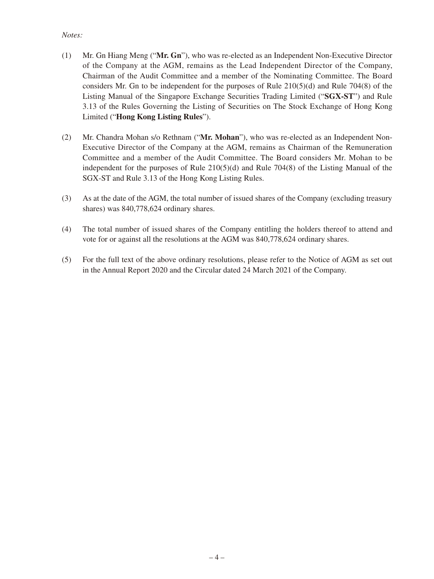#### *Notes:*

- (1) Mr. Gn Hiang Meng ("**Mr. Gn**"), who was re-elected as an Independent Non-Executive Director of the Company at the AGM, remains as the Lead Independent Director of the Company, Chairman of the Audit Committee and a member of the Nominating Committee. The Board considers Mr. Gn to be independent for the purposes of Rule 210(5)(d) and Rule 704(8) of the Listing Manual of the Singapore Exchange Securities Trading Limited ("**SGX-ST**") and Rule 3.13 of the Rules Governing the Listing of Securities on The Stock Exchange of Hong Kong Limited ("**Hong Kong Listing Rules**").
- (2) Mr. Chandra Mohan s/o Rethnam ("**Mr. Mohan**"), who was re-elected as an Independent Non-Executive Director of the Company at the AGM, remains as Chairman of the Remuneration Committee and a member of the Audit Committee. The Board considers Mr. Mohan to be independent for the purposes of Rule 210(5)(d) and Rule 704(8) of the Listing Manual of the SGX-ST and Rule 3.13 of the Hong Kong Listing Rules.
- (3) As at the date of the AGM, the total number of issued shares of the Company (excluding treasury shares) was 840,778,624 ordinary shares.
- (4) The total number of issued shares of the Company entitling the holders thereof to attend and vote for or against all the resolutions at the AGM was 840,778,624 ordinary shares.
- (5) For the full text of the above ordinary resolutions, please refer to the Notice of AGM as set out in the Annual Report 2020 and the Circular dated 24 March 2021 of the Company.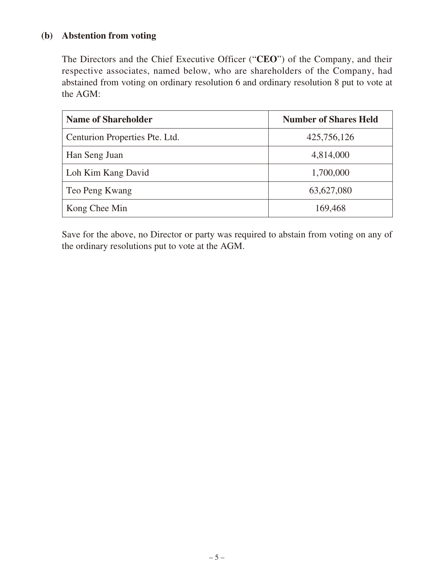### **(b) Abstention from voting**

The Directors and the Chief Executive Officer ("**CEO**") of the Company, and their respective associates, named below, who are shareholders of the Company, had abstained from voting on ordinary resolution 6 and ordinary resolution 8 put to vote at the AGM:

| <b>Name of Shareholder</b>     | <b>Number of Shares Held</b> |  |  |
|--------------------------------|------------------------------|--|--|
| Centurion Properties Pte. Ltd. | 425,756,126                  |  |  |
| Han Seng Juan                  | 4,814,000                    |  |  |
| Loh Kim Kang David             | 1,700,000                    |  |  |
| Teo Peng Kwang                 | 63,627,080                   |  |  |
| Kong Chee Min                  | 169,468                      |  |  |

Save for the above, no Director or party was required to abstain from voting on any of the ordinary resolutions put to vote at the AGM.